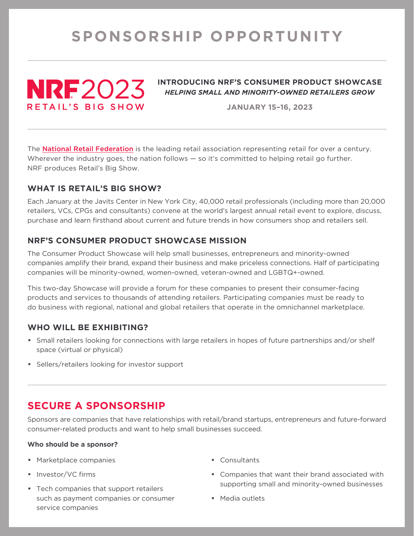# **SPONSORSHIP OPPORTUNITY**



### **INTRODUCING NRF'S CONSUMER PRODUCT SHOWCASE**  *HELPING SMALL AND MINORITY-OWNED RETAILERS GROW*

**JANUARY 15–16, 2023**

The **National Retail Federation** is the leading retail association representing retail for over a century. Wherever the industry goes, the nation follows — so it's committed to helping retail go further. NRF produces Retail's Big Show.

# **WHAT IS RETAIL'S BIG SHOW?**

Each January at the Javits Center in New York City, 40,000 retail professionals (including more than 20,000 retailers, VCs, CPGs and consultants) convene at the world's largest annual retail event to explore, discuss, purchase and learn firsthand about current and future trends in how consumers shop and retailers sell.

# **NRF'S CONSUMER PRODUCT SHOWCASE MISSION**

The Consumer Product Showcase will help small businesses, entrepreneurs and minority-owned companies amplify their brand, expand their business and make priceless connections. Half of participating companies will be minority-owned, women-owned, veteran-owned and LGBTQ+-owned.

This two-day Showcase will provide a forum for these companies to present their consumer-facing products and services to thousands of attending retailers. Participating companies must be ready to do business with regional, national and global retailers that operate in the omnichannel marketplace.

## **WHO WILL BE EXHIBITING?**

- Small retailers looking for connections with large retailers in hopes of future partnerships and/or shelf space (virtual or physical)
- Sellers/retailers looking for investor support

# **SECURE A SPONSORSHIP**

Sponsors are companies that have relationships with retail/brand startups, entrepreneurs and future-forward consumer-related products and want to help small businesses succeed.

#### **Who should be a sponsor?**

- Marketplace companies
- Investor/VC firms
- Tech companies that support retailers such as payment companies or consumer service companies
- Consultants
- Companies that want their brand associated with supporting small and minority-owned businesses
- Media outlets